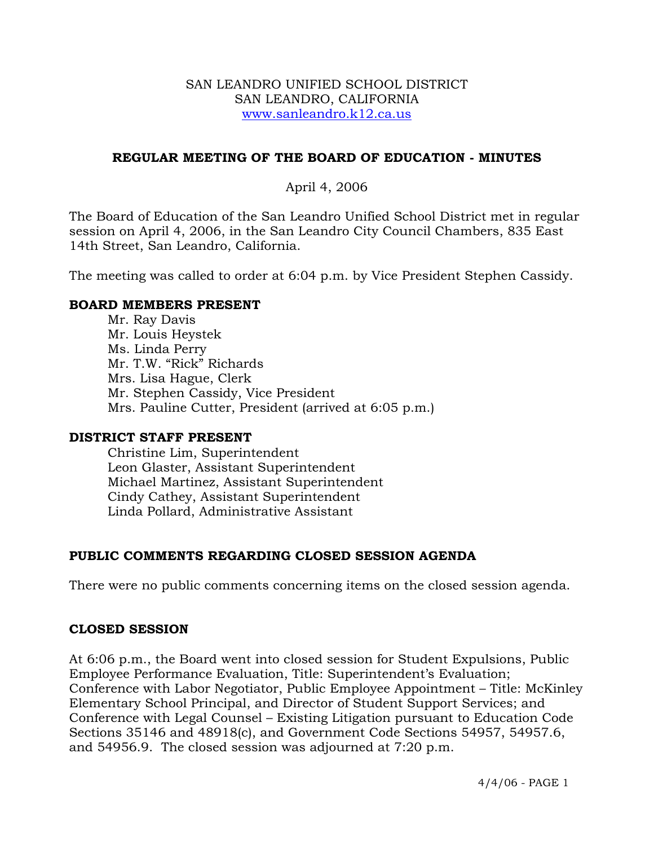### SAN LEANDRO UNIFIED SCHOOL DISTRICT SAN LEANDRO, CALIFORNIA www.sanleandro.k12.ca.us

### **REGULAR MEETING OF THE BOARD OF EDUCATION - MINUTES**

### April 4, 2006

The Board of Education of the San Leandro Unified School District met in regular session on April 4, 2006, in the San Leandro City Council Chambers, 835 East 14th Street, San Leandro, California.

The meeting was called to order at 6:04 p.m. by Vice President Stephen Cassidy.

### **BOARD MEMBERS PRESENT**

Mr. Ray Davis Mr. Louis Heystek Ms. Linda Perry Mr. T.W. "Rick" Richards Mrs. Lisa Hague, Clerk Mr. Stephen Cassidy, Vice President Mrs. Pauline Cutter, President (arrived at 6:05 p.m.)

### **DISTRICT STAFF PRESENT**

Christine Lim, Superintendent Leon Glaster, Assistant Superintendent Michael Martinez, Assistant Superintendent Cindy Cathey, Assistant Superintendent Linda Pollard, Administrative Assistant

## **PUBLIC COMMENTS REGARDING CLOSED SESSION AGENDA**

There were no public comments concerning items on the closed session agenda.

### **CLOSED SESSION**

At 6:06 p.m., the Board went into closed session for Student Expulsions, Public Employee Performance Evaluation, Title: Superintendent's Evaluation; Conference with Labor Negotiator, Public Employee Appointment – Title: McKinley Elementary School Principal, and Director of Student Support Services; and Conference with Legal Counsel – Existing Litigation pursuant to Education Code Sections 35146 and 48918(c), and Government Code Sections 54957, 54957.6, and 54956.9. The closed session was adjourned at 7:20 p.m.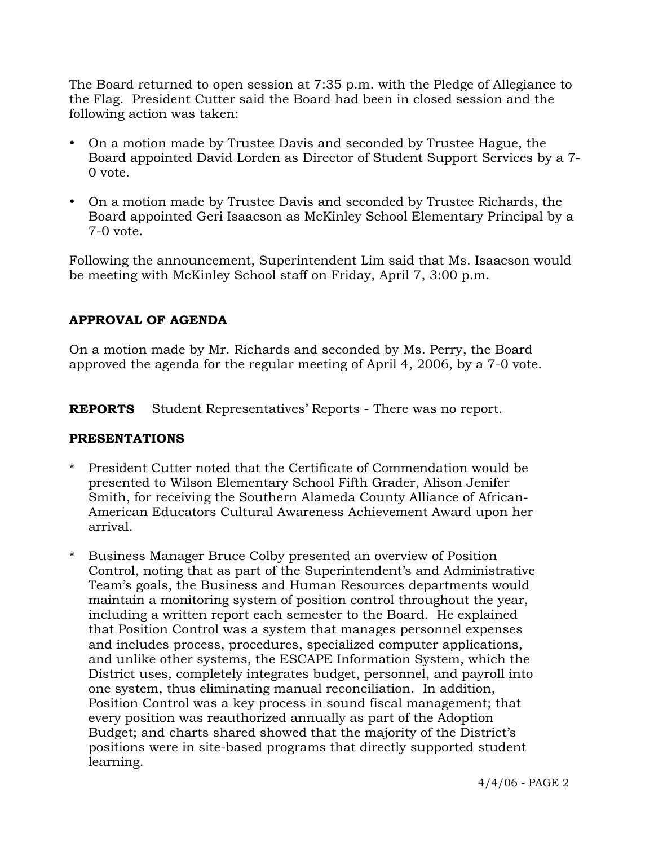The Board returned to open session at 7:35 p.m. with the Pledge of Allegiance to the Flag. President Cutter said the Board had been in closed session and the following action was taken:

- On a motion made by Trustee Davis and seconded by Trustee Hague, the Board appointed David Lorden as Director of Student Support Services by a 7- 0 vote.
- On a motion made by Trustee Davis and seconded by Trustee Richards, the Board appointed Geri Isaacson as McKinley School Elementary Principal by a 7-0 vote.

Following the announcement, Superintendent Lim said that Ms. Isaacson would be meeting with McKinley School staff on Friday, April 7, 3:00 p.m.

# **APPROVAL OF AGENDA**

On a motion made by Mr. Richards and seconded by Ms. Perry, the Board approved the agenda for the regular meeting of April 4, 2006, by a 7-0 vote.

**REPORTS** Student Representatives' Reports - There was no report.

## **PRESENTATIONS**

- \* President Cutter noted that the Certificate of Commendation would be presented to Wilson Elementary School Fifth Grader, Alison Jenifer Smith, for receiving the Southern Alameda County Alliance of African-American Educators Cultural Awareness Achievement Award upon her arrival.
- \* Business Manager Bruce Colby presented an overview of Position Control, noting that as part of the Superintendent's and Administrative Team's goals, the Business and Human Resources departments would maintain a monitoring system of position control throughout the year, including a written report each semester to the Board. He explained that Position Control was a system that manages personnel expenses and includes process, procedures, specialized computer applications, and unlike other systems, the ESCAPE Information System, which the District uses, completely integrates budget, personnel, and payroll into one system, thus eliminating manual reconciliation. In addition, Position Control was a key process in sound fiscal management; that every position was reauthorized annually as part of the Adoption Budget; and charts shared showed that the majority of the District's positions were in site-based programs that directly supported student learning.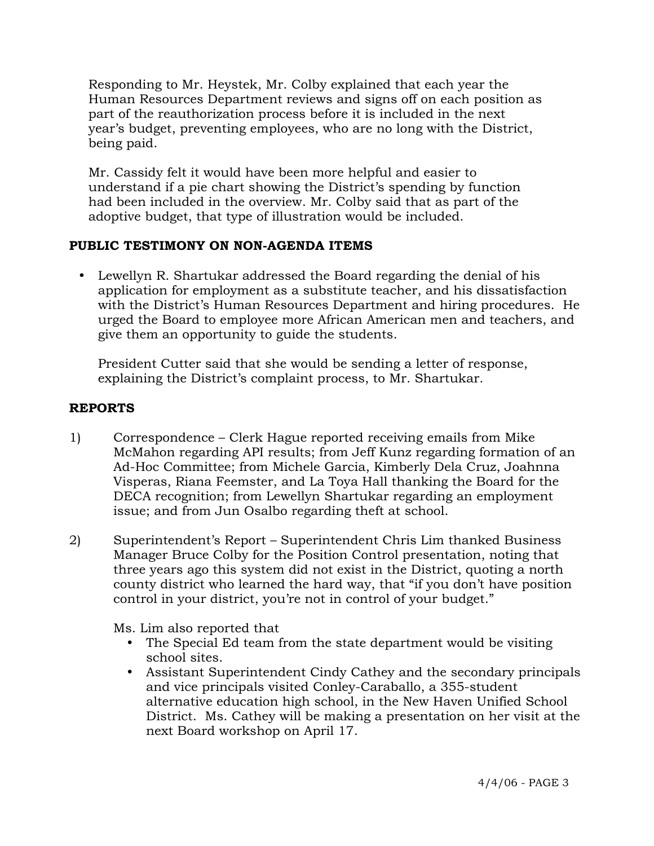Responding to Mr. Heystek, Mr. Colby explained that each year the Human Resources Department reviews and signs off on each position as part of the reauthorization process before it is included in the next year's budget, preventing employees, who are no long with the District, being paid.

 Mr. Cassidy felt it would have been more helpful and easier to understand if a pie chart showing the District's spending by function had been included in the overview. Mr. Colby said that as part of the adoptive budget, that type of illustration would be included.

# **PUBLIC TESTIMONY ON NON-AGENDA ITEMS**

• Lewellyn R. Shartukar addressed the Board regarding the denial of his application for employment as a substitute teacher, and his dissatisfaction with the District's Human Resources Department and hiring procedures. He urged the Board to employee more African American men and teachers, and give them an opportunity to guide the students.

 President Cutter said that she would be sending a letter of response, explaining the District's complaint process, to Mr. Shartukar.

# **REPORTS**

- 1) Correspondence Clerk Hague reported receiving emails from Mike McMahon regarding API results; from Jeff Kunz regarding formation of an Ad-Hoc Committee; from Michele Garcia, Kimberly Dela Cruz, Joahnna Visperas, Riana Feemster, and La Toya Hall thanking the Board for the DECA recognition; from Lewellyn Shartukar regarding an employment issue; and from Jun Osalbo regarding theft at school.
- 2) Superintendent's Report Superintendent Chris Lim thanked Business Manager Bruce Colby for the Position Control presentation, noting that three years ago this system did not exist in the District, quoting a north county district who learned the hard way, that "if you don't have position control in your district, you're not in control of your budget."

Ms. Lim also reported that

- The Special Ed team from the state department would be visiting school sites.
- Assistant Superintendent Cindy Cathey and the secondary principals and vice principals visited Conley-Caraballo, a 355-student alternative education high school, in the New Haven Unified School District. Ms. Cathey will be making a presentation on her visit at the next Board workshop on April 17.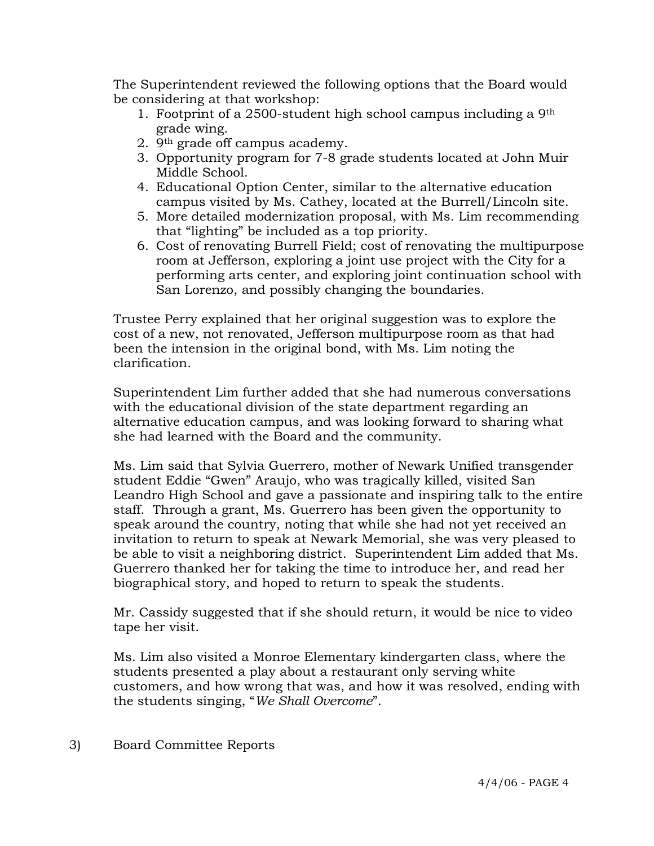The Superintendent reviewed the following options that the Board would be considering at that workshop:

- 1. Footprint of a 2500-student high school campus including a 9th grade wing.
- 2. 9th grade off campus academy.
- 3. Opportunity program for 7-8 grade students located at John Muir Middle School.
- 4. Educational Option Center, similar to the alternative education campus visited by Ms. Cathey, located at the Burrell/Lincoln site.
- 5. More detailed modernization proposal, with Ms. Lim recommending that "lighting" be included as a top priority.
- 6. Cost of renovating Burrell Field; cost of renovating the multipurpose room at Jefferson, exploring a joint use project with the City for a performing arts center, and exploring joint continuation school with San Lorenzo, and possibly changing the boundaries.

Trustee Perry explained that her original suggestion was to explore the cost of a new, not renovated, Jefferson multipurpose room as that had been the intension in the original bond, with Ms. Lim noting the clarification.

Superintendent Lim further added that she had numerous conversations with the educational division of the state department regarding an alternative education campus, and was looking forward to sharing what she had learned with the Board and the community.

Ms. Lim said that Sylvia Guerrero, mother of Newark Unified transgender student Eddie "Gwen" Araujo, who was tragically killed, visited San Leandro High School and gave a passionate and inspiring talk to the entire staff. Through a grant, Ms. Guerrero has been given the opportunity to speak around the country, noting that while she had not yet received an invitation to return to speak at Newark Memorial, she was very pleased to be able to visit a neighboring district. Superintendent Lim added that Ms. Guerrero thanked her for taking the time to introduce her, and read her biographical story, and hoped to return to speak the students.

Mr. Cassidy suggested that if she should return, it would be nice to video tape her visit.

Ms. Lim also visited a Monroe Elementary kindergarten class, where the students presented a play about a restaurant only serving white customers, and how wrong that was, and how it was resolved, ending with the students singing, "*We Shall Overcome*".

3) Board Committee Reports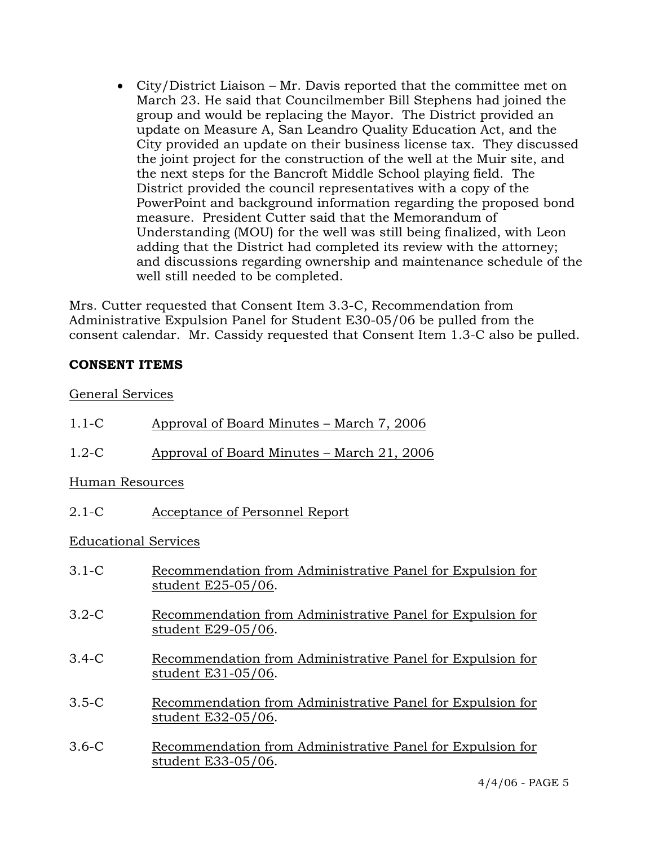• City/District Liaison – Mr. Davis reported that the committee met on March 23. He said that Councilmember Bill Stephens had joined the group and would be replacing the Mayor. The District provided an update on Measure A, San Leandro Quality Education Act, and the City provided an update on their business license tax. They discussed the joint project for the construction of the well at the Muir site, and the next steps for the Bancroft Middle School playing field. The District provided the council representatives with a copy of the PowerPoint and background information regarding the proposed bond measure. President Cutter said that the Memorandum of Understanding (MOU) for the well was still being finalized, with Leon adding that the District had completed its review with the attorney; and discussions regarding ownership and maintenance schedule of the well still needed to be completed.

Mrs. Cutter requested that Consent Item 3.3-C, Recommendation from Administrative Expulsion Panel for Student E30-05/06 be pulled from the consent calendar. Mr. Cassidy requested that Consent Item 1.3-C also be pulled.

## **CONSENT ITEMS**

## General Services

| $1.1 - C$                   | Approval of Board Minutes – March 7, 2006                                        |
|-----------------------------|----------------------------------------------------------------------------------|
| $1.2-C$                     | Approval of Board Minutes – March 21, 2006                                       |
| Human Resources             |                                                                                  |
| $2.1-C$                     | Acceptance of Personnel Report                                                   |
| <b>Educational Services</b> |                                                                                  |
| $3.1 - C$                   | Recommendation from Administrative Panel for Expulsion for<br>student E25-05/06. |
| $3.2-C$                     | Recommendation from Administrative Panel for Expulsion for<br>student E29-05/06. |
| $3.4-C$                     | Recommendation from Administrative Panel for Expulsion for<br>student E31-05/06. |
| $3.5-C$                     | Recommendation from Administrative Panel for Expulsion for<br>student E32-05/06. |
| $3.6-C$                     | Recommendation from Administrative Panel for Expulsion for<br>student E33-05/06. |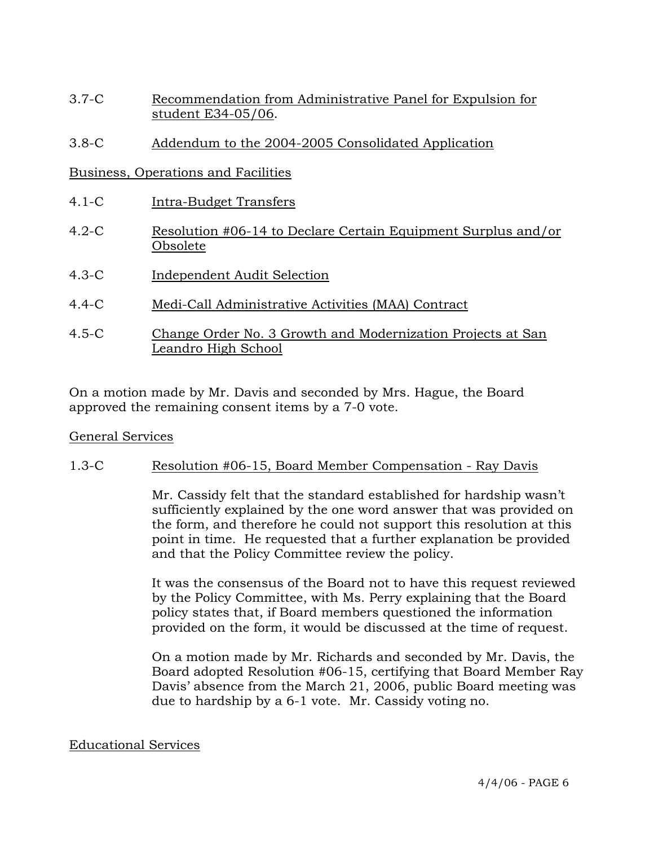- 3.7-C Recommendation from Administrative Panel for Expulsion for student E34-05/06.
- 3.8-C Addendum to the 2004-2005 Consolidated Application

## Business, Operations and Facilities

- 4.1-C Intra-Budget Transfers
- 4.2-C Resolution #06-14 to Declare Certain Equipment Surplus and/or Obsolete
- 4.3-C Independent Audit Selection
- 4.4-C Medi-Call Administrative Activities (MAA) Contract
- 4.5-C Change Order No. 3 Growth and Modernization Projects at San Leandro High School

On a motion made by Mr. Davis and seconded by Mrs. Hague, the Board approved the remaining consent items by a 7-0 vote.

## General Services

## 1.3-C Resolution #06-15, Board Member Compensation - Ray Davis

Mr. Cassidy felt that the standard established for hardship wasn't sufficiently explained by the one word answer that was provided on the form, and therefore he could not support this resolution at this point in time. He requested that a further explanation be provided and that the Policy Committee review the policy.

It was the consensus of the Board not to have this request reviewed by the Policy Committee, with Ms. Perry explaining that the Board policy states that, if Board members questioned the information provided on the form, it would be discussed at the time of request.

On a motion made by Mr. Richards and seconded by Mr. Davis, the Board adopted Resolution #06-15, certifying that Board Member Ray Davis' absence from the March 21, 2006, public Board meeting was due to hardship by a 6-1 vote. Mr. Cassidy voting no.

### Educational Services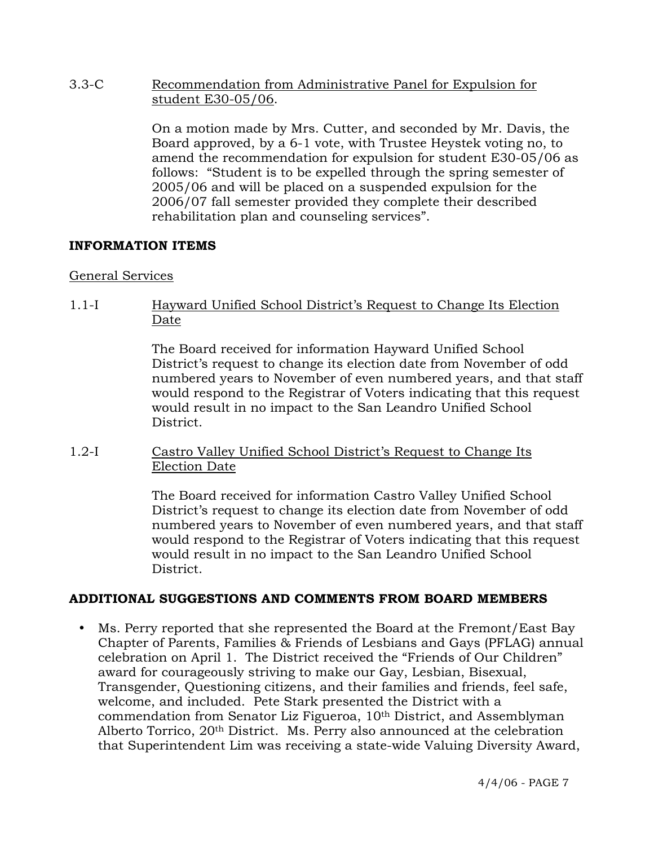3.3-C Recommendation from Administrative Panel for Expulsion for student E30-05/06.

> On a motion made by Mrs. Cutter, and seconded by Mr. Davis, the Board approved, by a 6-1 vote, with Trustee Heystek voting no, to amend the recommendation for expulsion for student E30-05/06 as follows: "Student is to be expelled through the spring semester of 2005/06 and will be placed on a suspended expulsion for the 2006/07 fall semester provided they complete their described rehabilitation plan and counseling services".

## **INFORMATION ITEMS**

### General Services

1.1-I Hayward Unified School District's Request to Change Its Election Date

> The Board received for information Hayward Unified School District's request to change its election date from November of odd numbered years to November of even numbered years, and that staff would respond to the Registrar of Voters indicating that this request would result in no impact to the San Leandro Unified School District.

1.2-I Castro Valley Unified School District's Request to Change Its Election Date

> The Board received for information Castro Valley Unified School District's request to change its election date from November of odd numbered years to November of even numbered years, and that staff would respond to the Registrar of Voters indicating that this request would result in no impact to the San Leandro Unified School District.

## **ADDITIONAL SUGGESTIONS AND COMMENTS FROM BOARD MEMBERS**

Ms. Perry reported that she represented the Board at the Fremont/East Bay Chapter of Parents, Families & Friends of Lesbians and Gays (PFLAG) annual celebration on April 1. The District received the "Friends of Our Children" award for courageously striving to make our Gay, Lesbian, Bisexual, Transgender, Questioning citizens, and their families and friends, feel safe, welcome, and included. Pete Stark presented the District with a commendation from Senator Liz Figueroa, 10th District, and Assemblyman Alberto Torrico, 20th District. Ms. Perry also announced at the celebration that Superintendent Lim was receiving a state-wide Valuing Diversity Award,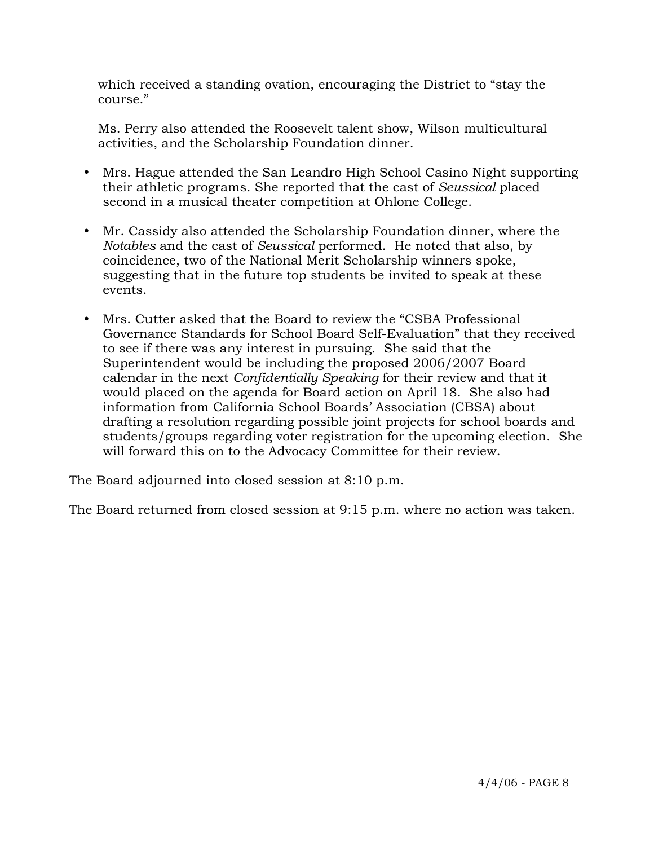which received a standing ovation, encouraging the District to "stay the course."

 Ms. Perry also attended the Roosevelt talent show, Wilson multicultural activities, and the Scholarship Foundation dinner.

- Mrs. Hague attended the San Leandro High School Casino Night supporting their athletic programs. She reported that the cast of *Seussical* placed second in a musical theater competition at Ohlone College.
- y Mr. Cassidy also attended the Scholarship Foundation dinner, where the *Notables* and the cast of *Seussical* performed. He noted that also, by coincidence, two of the National Merit Scholarship winners spoke, suggesting that in the future top students be invited to speak at these events.
- y Mrs. Cutter asked that the Board to review the "CSBA Professional Governance Standards for School Board Self-Evaluation" that they received to see if there was any interest in pursuing. She said that the Superintendent would be including the proposed 2006/2007 Board calendar in the next *Confidentially Speaking* for their review and that it would placed on the agenda for Board action on April 18. She also had information from California School Boards' Association (CBSA) about drafting a resolution regarding possible joint projects for school boards and students/groups regarding voter registration for the upcoming election. She will forward this on to the Advocacy Committee for their review.

The Board adjourned into closed session at 8:10 p.m.

The Board returned from closed session at 9:15 p.m. where no action was taken.